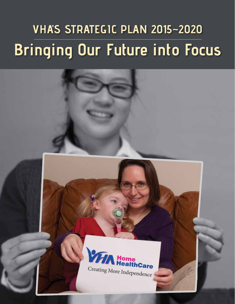## **VHA'S Strategic Plan 2015~2020 Bringing Our Future into Focus**

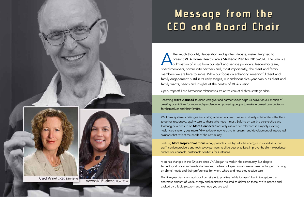

## **Message from the CEO and Board Chair**

fter much thought, deliberation and spirited debate, we're delighted to<br>present VHA Home HealthCare's Strategic Plan for 2015-2020. The p<br>culmination of input from our staff and service providers, leadership tea<br>hoard momb present **VHA Home HealthCare's Strategic Plan for 2015-2020**. The plan is a **N**culmination of input from our staff and service providers, leadership team, board members, community partners and, most importantly, the client and family members we are here to serve. While our focus on enhancing meaningful client and family engagement is still in its early stages, our ambitious five-year plan puts client and family wants, needs and insights at the centre of VHA's vision.

Becoming More Attuned to client, caregiver and partner voices helps us deliver on our mission of *creating possibilities for more independence*, empowering people to make informed care decisions for themselves and their families.

Open, respectful and harmonious relationships are at the core of all three strategic pillars.

We know systemic challenges are too big solve on our own: we must closely collaborate with others to deliver responsive, quality care to those who need it most. Building on existing partnerships and fostering new ones to be **More Connected** not only assures our relevance in a rapidly evolving health-care system, but impels VHA to break new ground in research and development of integrated solutions that reflect the needs of the community.

Realizing More Inspired Solutions is only possible if we tap into the energy and expertise of our staff, service providers and tech-savvy partners to drive best practices, improve the client experience and deliver equitable, sustainable solutions for Ontarians.

A lot has changed in the 90 years since VHA began its work in the community. But despite technological, social and medical advances, the heart of spectacular care remains unchanged: focusing on clients' needs and their preferences for when, where and how they receive care.

This five-year plan is a snapshot of our strategic priorities. While it doesn't begin to capture the enormous amount of work, energy and dedication required to deliver on these, we're inspired and excited by this big picture – and we hope you are too!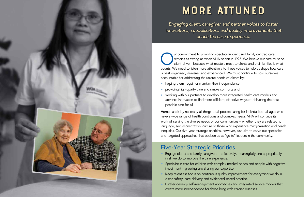## **MORE ATTUNED**

*Engaging client, caregiver and partner voices to foster innovations, specializations and quality improvements that enrich the care experience.* 

UP are commitment to providing spectacular client and family centred care<br>remains as strong as when VHA began in 1925. We believe our care m<br>client-driven, because what matters most to clients and their families is<br>counts. remains as strong as when VHA began in 1925. We believe our care must be client-driven, because what matters most to clients and their families is what counts. We need to listen more attentively to these voices to help us shape how care is best organized, delivered and experienced. We must continue to hold ourselves accountable for addressing the unique needs of clients by:

- helping them regain or maintain their independence
- **•** providing high-quality care and simple comforts and;
- **•** working with our partners to develop more integrated health care models and advance innovation to find more efficient, effective ways of delivering the best possible care for all.

Home care is by necessity all things to all people: caring for individuals of all ages who have a wide range of health conditions and complex needs. VHA will continue its work of serving the diverse needs of our communities – whether they are related to language, sexual orientation, culture or those who experience marginalization and health inequities. Our five-year strategic priorities, however, also aim to carve out specialties and targeted approaches that position us as "go to" leaders in the community.

## **Five-Year Strategic Priorities**

- **•** Engage clients and family caregivers effectively, meaningfully and appropriately in all we do to improve the care experience.
- **•** Specialize in care for children with complex medical needs and people with cognitive impairment – growing and sharing our expertise.
- **•** Keep relentless focus on continuous quality improvement for everything we do in client safety, care delivery and evidenced-based practice.
- **•** Further develop self-management approaches and integrated service models that create more independence for those living with chronic diseases.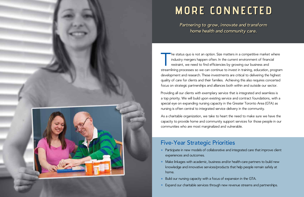

## **MORE CONNECTED**

*Partnering to grow, innovate and transform home health and community care.*

The status quo is not an option. Size matters in a competitive market where<br>industry mergers happen often. In the current environment of financial<br>restraint, we need to find efficiencies by growing our business and<br>streaml he status quo is not an option. Size matters in a competitive market where industry mergers happen often. In the current environment of financial restraint, we need to find efficiencies by growing our business and development and research. These investments are critical to delivering the highest quality of care for clients and their families. Achieving this also requires concerted focus on strategic partnerships and alliances both within and outside our sector.

Providing all our clients with exemplary service that is integrated and seamless is a top priority. We will build upon existing service and contract foundations, with a special eye on expanding nursing capacity in the Greater Toronto Area (GTA) as nursing is often central to integrated service delivery in the community.

- **•** Participate in new models of collaborative and integrated care that improve client experiences and outcomes.
- **•** Make linkages with academic, business and/or health-care partners to build new knowledge and innovative services/products that help people remain safely at home.
- **•** Build our nursing capacity with a focus of expansion in the GTA.
- **•** Expand our charitable services through new revenue streams and partnerships.

As a charitable organization, we take to heart the need to make sure we have the capacity to provide home and community support services for those people in our communities who are most marginalized and vulnerable.

### **Five-Year Strategic Priorities**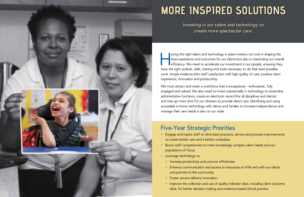

## **MORE INSPIRED SOLUTIONS**

*Investing in our talent and technology to create more spectacular care.*

aving the right talent and technology in place matters not only in shaping the<br>best experience and outcomes for our clients but also in maximizing our overa<br>efficiency. We need to accelerate our investment in our people, e best experience and outcomes for our clients but also in maximizing our overall efficiency. We need to accelerate our investment in our people, ensuring they have the right outlook, skills, training and tools necessary to do their best possible work. Ample evidence links staff satisfaction with high quality of care, positive client experience, innovation and productivity.

We must attract and retain a workforce that is exceptional – enthusiastic, fully engaged and valued. We also need to invest substantially in technology to streamline administrative functions, create an electronic record (for all disciplines and clients) and free up more time for our clinicians to provide direct care. Identifying and using accessible in-home technology with clients and families to increase independence and manage their care needs is also on our radar.

## **Five-Year Strategic Priorities**

- **•** Engage and inspire staff to drive best practices, service and process improvements to create better care and a better workplace.
- **•** Boost staff competencies to meet increasingly complex client needs and our populations of focus.
- **•** Leverage technology to:
	- **•** Increase productivity and uncover efficiencies.
	- **•** Enhance communication and access to resources at VHA and with our clients and partners in the community.
	- **•** Foster service delivery innovation.
	- Improve the collection and use of quality indicator data, including client outcome data, for better decision-making and evidence-based clinical practice.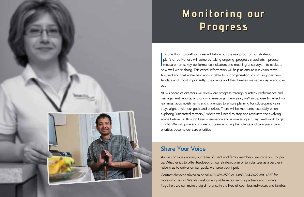# **Monitoring our Progress**

 $\begin{bmatrix} \frac{1}{2} & \frac{1}{2} \\ \frac{1}{2} & \frac{1}{2} \end{bmatrix}$ t's one thing to craft our desired future but the real proof of our strategic plan's effectiveness will come by taking ongoing progress snapshots – precise **n** measurements, key performance indicators and meaningful surveys – to evaluate how well we're doing. This critical information will help us ensure our vision stays focused and that we're held accountable to our organization, community partners, funders and, most importantly, the clients and their families we serve day in and day out.

As we continue growing our team of client and family members, we invite you to join us. Whether it's to offer feedback on our strategic plan or to volunteer as a partner in helping us to deliver on our goals, we value your input.

VHA's board of directors will review our progress through quarterly performance and management reports, and ongoing meetings. Every year, we'll also pause to reflect on learnings, accomplishments and challenges to ensure planning for subsequent years stays aligned with our goals and priorities. There will be moments, especially when exploring "uncharted territory," where we'll need to stop and revaluate the evolving scene before us. Through keen observation and unwavering scrutiny, we'll work to get it right. We will guide and inspire our team ensuring that clients and caregivers' care priorities become our care priorities.

## **Share Your Voice**

Contact clientvoice@vha.ca or call 416-489-2500 or 1-888-314-6622 ext. 4327 for more information. We also welcome input from our service partners and funders. Together, we can make a big difference in the lives of countless individuals and families.